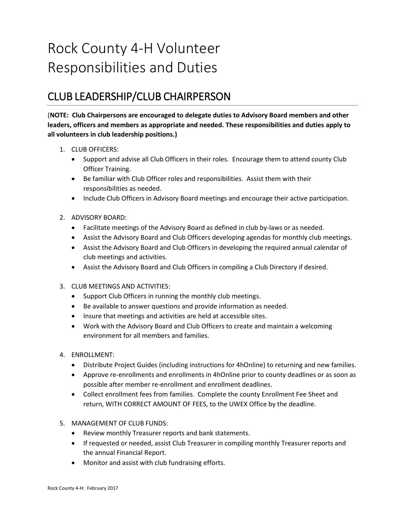## Rock County 4-H Volunteer Responsibilities and Duties

## CLUB LEADERSHIP/CLUB CHAIRPERSON

(**NOTE: Club Chairpersons are encouraged to delegate duties to Advisory Board members and other leaders, officers and members as appropriate and needed. These responsibilities and duties apply to all volunteers in club leadership positions.)**

- 1. CLUB OFFICERS:
	- Support and advise all Club Officers in their roles. Encourage them to attend county Club Officer Training.
	- Be familiar with Club Officer roles and responsibilities. Assist them with their responsibilities as needed.
	- Include Club Officers in Advisory Board meetings and encourage their active participation.
- 2. ADVISORY BOARD:
	- Facilitate meetings of the Advisory Board as defined in club by-laws or as needed.
	- Assist the Advisory Board and Club Officers developing agendas for monthly club meetings.
	- Assist the Advisory Board and Club Officers in developing the required annual calendar of club meetings and activities.
	- Assist the Advisory Board and Club Officers in compiling a Club Directory if desired.
- 3. CLUB MEETINGS AND ACTIVITIES:
	- Support Club Officers in running the monthly club meetings.
	- Be available to answer questions and provide information as needed.
	- Insure that meetings and activities are held at accessible sites.
	- Work with the Advisory Board and Club Officers to create and maintain a welcoming environment for all members and families.
- 4. ENROLLMENT:
	- Distribute Project Guides (including instructions for 4hOnline) to returning and new families.
	- Approve re-enrollments and enrollments in 4hOnline prior to county deadlines or as soon as possible after member re-enrollment and enrollment deadlines.
	- Collect enrollment fees from families. Complete the county Enrollment Fee Sheet and return, WITH CORRECT AMOUNT OF FEES, to the UWEX Office by the deadline.
- 5. MANAGEMENT OF CLUB FUNDS:
	- Review monthly Treasurer reports and bank statements.
	- If requested or needed, assist Club Treasurer in compiling monthly Treasurer reports and the annual Financial Report.
	- Monitor and assist with club fundraising efforts.